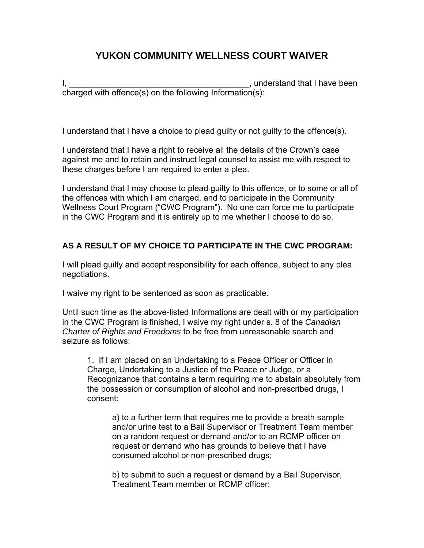## **YUKON COMMUNITY WELLNESS COURT WAIVER**

I, \_\_\_\_\_\_\_\_\_\_\_\_\_\_\_\_\_\_\_\_\_\_\_\_\_\_\_\_\_\_\_\_\_\_\_\_\_\_\_, understand that I have been charged with offence(s) on the following Information(s):

I understand that I have a choice to plead guilty or not guilty to the offence(s).

I understand that I have a right to receive all the details of the Crown's case against me and to retain and instruct legal counsel to assist me with respect to these charges before I am required to enter a plea.

I understand that I may choose to plead guilty to this offence, or to some or all of the offences with which I am charged, and to participate in the Community Wellness Court Program ("CWC Program"). No one can force me to participate in the CWC Program and it is entirely up to me whether I choose to do so.

## **AS A RESULT OF MY CHOICE TO PARTICIPATE IN THE CWC PROGRAM:**

I will plead guilty and accept responsibility for each offence, subject to any plea negotiations.

I waive my right to be sentenced as soon as practicable.

Until such time as the above-listed Informations are dealt with or my participation in the CWC Program is finished, I waive my right under s. 8 of the *Canadian Charter of Rights and Freedoms* to be free from unreasonable search and seizure as follows:

1. If I am placed on an Undertaking to a Peace Officer or Officer in Charge, Undertaking to a Justice of the Peace or Judge, or a Recognizance that contains a term requiring me to abstain absolutely from the possession or consumption of alcohol and non-prescribed drugs, I consent:

a) to a further term that requires me to provide a breath sample and/or urine test to a Bail Supervisor or Treatment Team member on a random request or demand and/or to an RCMP officer on request or demand who has grounds to believe that I have consumed alcohol or non-prescribed drugs;

b) to submit to such a request or demand by a Bail Supervisor, Treatment Team member or RCMP officer;